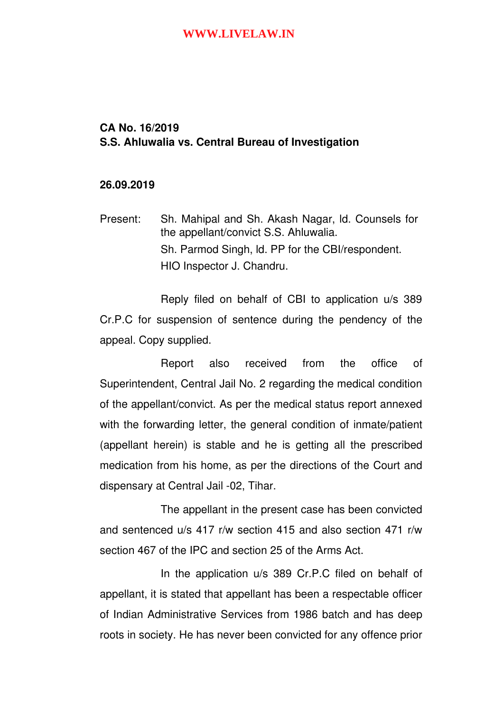# **CA No. 16/2019 S.S. Ahluwalia vs. Central Bureau of Investigation**

### **26.09.2019**

Present: Sh. Mahipal and Sh. Akash Nagar, ld. Counsels for the appellant/convict S.S. Ahluwalia. Sh. Parmod Singh, ld. PP for the CBI/respondent. HIO Inspector J. Chandru.

Reply filed on behalf of CBI to application u/s 389 Cr.P.C for suspension of sentence during the pendency of the appeal. Copy supplied.

Report also received from the office of Superintendent, Central Jail No. 2 regarding the medical condition of the appellant/convict. As per the medical status report annexed with the forwarding letter, the general condition of inmate/patient (appellant herein) is stable and he is getting all the prescribed medication from his home, as per the directions of the Court and dispensary at Central Jail -02. Tihar.

The appellant in the present case has been convicted and sentenced u/s 417 r/w section 415 and also section 471 r/w section 467 of the IPC and section 25 of the Arms Act.

In the application u/s 389 Cr.P.C filed on behalf of appellant, it is stated that appellant has been a respectable officer of Indian Administrative Services from 1986 batch and has deep roots in society. He has never been convicted for any offence prior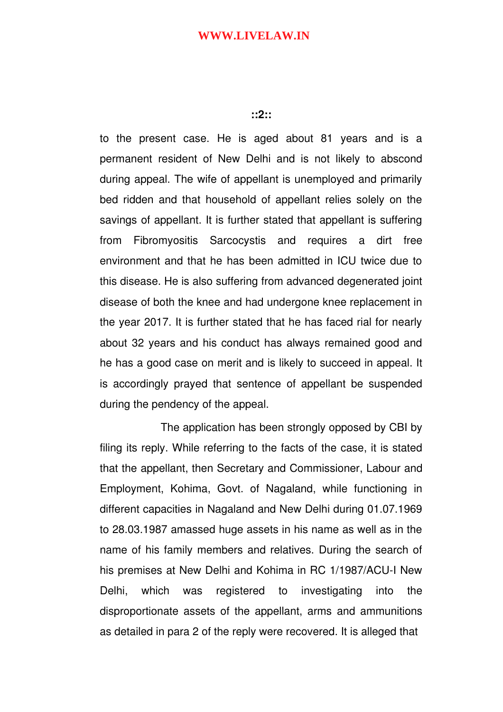### **::2::**

to the present case. He is aged about 81 years and is a permanent resident of New Delhi and is not likely to abscond during appeal. The wife of appellant is unemployed and primarily bed ridden and that household of appellant relies solely on the savings of appellant. It is further stated that appellant is suffering from Fibromyositis Sarcocystis and requires a dirt free environment and that he has been admitted in ICU twice due to this disease. He is also suffering from advanced degenerated joint disease of both the knee and had undergone knee replacement in the year 2017. It is further stated that he has faced rial for nearly about 32 years and his conduct has always remained good and he has a good case on merit and is likely to succeed in appeal. It is accordingly prayed that sentence of appellant be suspended during the pendency of the appeal.

The application has been strongly opposed by CBI by filing its reply. While referring to the facts of the case, it is stated that the appellant, then Secretary and Commissioner, Labour and Employment, Kohima, Govt. of Nagaland, while functioning in different capacities in Nagaland and New Delhi during 01.07.1969 to 28.03.1987 amassed huge assets in his name as well as in the name of his family members and relatives. During the search of his premises at New Delhi and Kohima in RC 1/1987/ACU-I New Delhi, which was registered to investigating into the disproportionate assets of the appellant, arms and ammunitions as detailed in para 2 of the reply were recovered. It is alleged that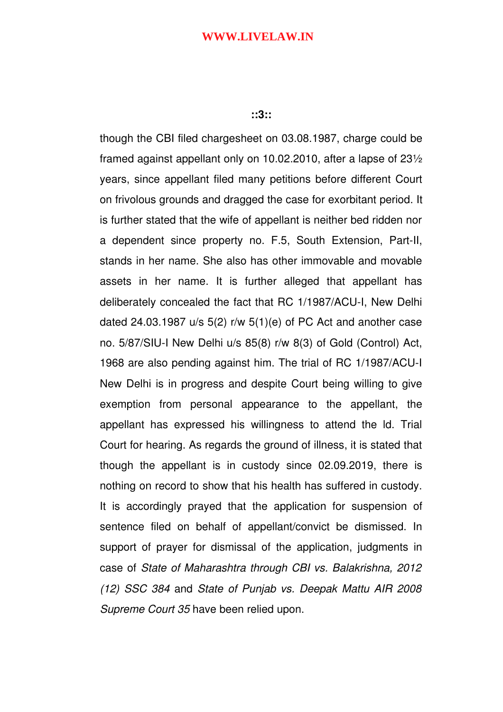#### **::3::**

though the CBI filed chargesheet on 03.08.1987, charge could be framed against appellant only on 10.02.2010, after a lapse of 23½ years, since appellant filed many petitions before different Court on frivolous grounds and dragged the case for exorbitant period. It is further stated that the wife of appellant is neither bed ridden nor a dependent since property no. F.5, South Extension, Part-II, stands in her name. She also has other immovable and movable assets in her name. It is further alleged that appellant has deliberately concealed the fact that RC 1/1987/ACU-I, New Delhi dated 24.03.1987 u/s 5(2) r/w 5(1)(e) of PC Act and another case no. 5/87/SIU-I New Delhi u/s 85(8) r/w 8(3) of Gold (Control) Act, 1968 are also pending against him. The trial of RC 1/1987/ACU-I New Delhi is in progress and despite Court being willing to give exemption from personal appearance to the appellant, the appellant has expressed his willingness to attend the ld. Trial Court for hearing. As regards the ground of illness, it is stated that though the appellant is in custody since 02.09.2019, there is nothing on record to show that his health has suffered in custody. It is accordingly prayed that the application for suspension of sentence filed on behalf of appellant/convict be dismissed. In support of prayer for dismissal of the application, judgments in case of *State of Maharashtra through CBI vs. Balakrishna, 2012 (12) SSC 384* and *State of Punjab vs. Deepak Mattu AIR 2008 Supreme Court 35* have been relied upon.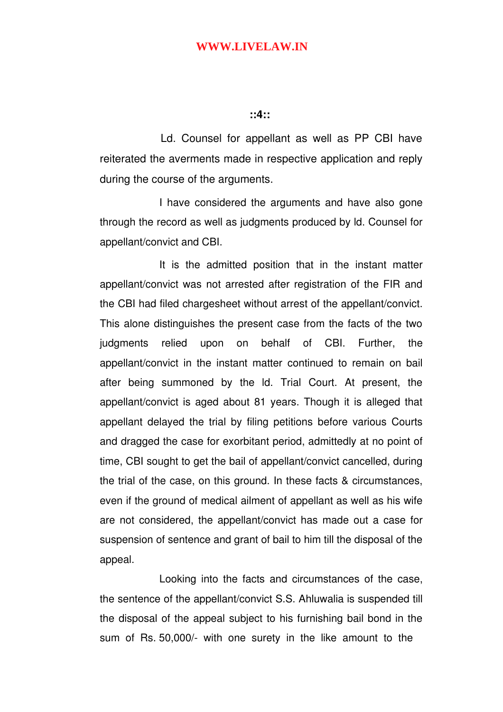#### **::4::**

Ld. Counsel for appellant as well as PP CBI have reiterated the averments made in respective application and reply during the course of the arguments.

I have considered the arguments and have also gone through the record as well as judgments produced by ld. Counsel for appellant/convict and CBI.

It is the admitted position that in the instant matter appellant/convict was not arrested after registration of the FIR and the CBI had filed chargesheet without arrest of the appellant/convict. This alone distinguishes the present case from the facts of the two judgments relied upon on behalf of CBI. Further, the appellant/convict in the instant matter continued to remain on bail after being summoned by the Id. Trial Court. At present, the appellant/convict is aged about 81 years. Though it is alleged that appellant delayed the trial by filing petitions before various Courts and dragged the case for exorbitant period, admittedly at no point of time, CBI sought to get the bail of appellant/convict cancelled, during the trial of the case, on this ground. In these facts & circumstances, even if the ground of medical ailment of appellant as well as his wife are not considered, the appellant/convict has made out a case for suspension of sentence and grant of bail to him till the disposal of the appeal.

Looking into the facts and circumstances of the case, the sentence of the appellant/convict S.S. Ahluwalia is suspended till the disposal of the appeal subject to his furnishing bail bond in the sum of Rs. 50,000/- with one surety in the like amount to the